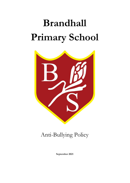# **Brandhall Primary School**



## Anti-Bullying Policy

**September 2021**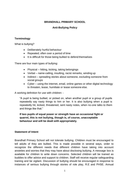#### **BRANDHALL PRIMARY SCHOOL**

#### **Anti-Bullying Policy**

#### **Terminology**

What is bullying?

- Deliberately hurtful behaviour
- Repeated; often over a period of time
- It is difficult for those being bullied to defend themselves

There are four main types of bullying:

- Physical hitting, kicking, taking belongings
- Verbal name-calling, insulting, racist remarks, winding up
- Indirect spreading stories about someone, excluding someone from social groups
- Cyber using the internet, email, online games or other digital technology to threaten, tease, humiliate or tease someone else.

A working definition for use with children: -

"A pupil is being bullied, or picked on, when another pupil or a group of pupils repeatedly say nasty things to him or her. It is also bullying when a pupil is repeatedly hit, kicked, threatened, sent nasty notes, when no-one talks to them and things like that."

**If two pupils of equal power or strength have an occasional fight or quarrel, this is not bullying, though is, of course, unacceptable behaviour and will be dealt with appropriately.**

#### **Statement of Intent**

Brandhall Primary School will not tolerate bullying. Children must be encouraged to tell adults of they are bullied. This is made possible in several ways, order to recognize the different needs that different children have taking into account anxieties and worries that they may have about disclosing bullying. A message box is available for children to write down concerns. Selected children will be trained as buddies to offer advice and support to children. Staff will receive regular safeguarding training and be vigilant. Discussion of bullying should be encouraged in response to instances of serious bullying through stories of role play, R.E and PHSE. Annual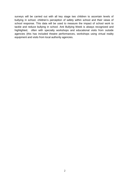surveys will be carried out with all key stage two children to ascertain levels of bullying in school, children's perception of safety within school and their views of school response. This data will be used to measure the impact of school work to tackle and reduce bullying in school. Anti Bullying Week is always recognized and highlighted, often with specialty workshops and educational visits from outside agencies (this has included theatre performances, workshops using virtual reality equipment and visits from local authority agencies.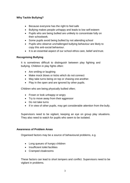#### **Why Tackle Bullying?**

- Because everyone has the right to feel safe
- Bullying makes people unhappy and leads to low self esteem
- Pupils who are being bullied are unlikely to concentrate fully on their schoolwork.
- Some pupils avoid being bullied by not attending school
- Pupils who observe unchallenged bullying behaviour are likely to copy this anti-social behaviour.
- It is an essential aspect of our school ethos care, belief and trust.

#### **Recognising Bullying**

It is sometimes difficult to distinguish between play fighting and bullying. Children in play fights often:

- Are smiling or laughing
- Make mock blows or kicks which do not connect
- May take turns being on top or chasing one another.
- Play in the open and are ignored by other pupils.

Children who are being physically bullied often;

- Frown or look unhappy or angry
- Try to move away from their aggressor
- Do not take turns
- If in view of other pupils, may get considerable attention from the bully.

Supervisors need to be vigilant, keeping an eye on group play situations. They also need to watch for pupils who seem to be isolated.

#### **Awareness of Problem Areas**

Organised factors may be a source of behavioural problems, e.g.

- Long queues of hungry children
- Insufficient toilet facilities
- Cramped cloakrooms

These factors can lead to short tempers and conflict. Supervisors need to be vigilant in problems.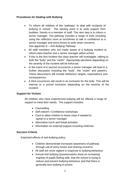#### **Procedures for Dealing with Bullying**

- To inform all children of the "pathway" to deal with incidents of bullying in school. The starting point is to seek support from buddies, friends or a member of staff. The next step is to inform a senior manager. The pathway includes a range of tools including using the reflection room at lunchtimes to talk in confidence to a senior manager and worry boxes to write down concerns. *See appendix A – Anti Bullying Pathway*
- All staff members who are made aware of a bullying incident to inform class teacher and a senior manager within school.
- If this is the first incident the class teacher will investigate, talking to both the "bully" and the "victim". Appropriate sanctions depending on the severity of the incident will be enforced.
- In the event of a second occurrence a senior manager will lead to a further discussion including the "bully", the "victim" and parent's. These discussions will include behaviour targets, expectations and consequences.
- A third occurrence will result in an exclusion for the bully. This will be internal or a school exclusion depending on the severity of the incident.

#### **Support for Victims**

All children who have experienced bullying will be offered a range of support to meet their needs. The support includes:

- Counselling
- Self esteem / Confidence workshops
- Card to allow children to leave class if needed to speak to a senior manager
- Alternative lunch and break activities
- Information on external support including child-line.

#### **Success Criteria**

Expected effects of anti-bullying policy:

- Children demonstrate increased awareness of pathway through use of worry boxes and sharing concerns
- All staff are more vigilant in response to bullying behaviour
- Annual Anti bullying Questionnaires show an increasing majority of pupils feeling safe, that the school is trying to reduce and prevent bullying behaviour and that there is generally less bullying in school.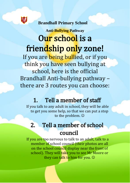

 **Brandhall Primary School** 

# **Anti-Bullying Pathway** Our school is a friendship only zone!

If you are being bullied, or if you think you have seen bullying at school, here is the official Brandhall Anti-bullying pathway – there are 3 routes you can choose:

# 1. Tell a member of staff

If you talk to any adult in school, they will be able to get you some help, so that we can put a stop to the problem.

# 2. Tell a member of school council

If you are too nervous to talk to an adult, talk to a member of school council (their photos are all on the school council display near the front of school). They will take you to see Mr Moore or they can talk to him for you.  $\odot$